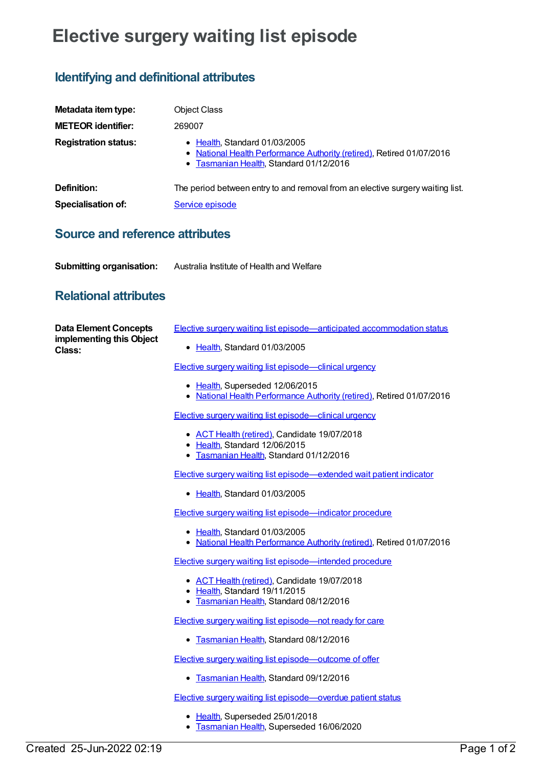## **Elective surgery waiting list episode**

## **Identifying and definitional attributes**

| Metadata item type:         | <b>Object Class</b>                                                                                                                               |
|-----------------------------|---------------------------------------------------------------------------------------------------------------------------------------------------|
| <b>METEOR identifier:</b>   | 269007                                                                                                                                            |
| <b>Registration status:</b> | • Health, Standard 01/03/2005<br>• National Health Performance Authority (retired), Retired 01/07/2016<br>• Tasmanian Health, Standard 01/12/2016 |
| Definition:                 | The period between entry to and removal from an elective surgery waiting list.                                                                    |
| <b>Specialisation of:</b>   | Service episode                                                                                                                                   |
|                             |                                                                                                                                                   |

## **Source and reference attributes**

| <b>Submitting organisation:</b><br>Australia Institute of Health and Welfare |
|------------------------------------------------------------------------------|
|------------------------------------------------------------------------------|

## **Relational attributes**

| <b>Data Element Concepts</b><br>implementing this Object<br>Class: | Elective surgery waiting list episode—anticipated accommodation status                                                   |
|--------------------------------------------------------------------|--------------------------------------------------------------------------------------------------------------------------|
|                                                                    | • Health, Standard 01/03/2005                                                                                            |
|                                                                    | <b>Elective surgery waiting list episode—clinical urgency</b>                                                            |
|                                                                    | • Health, Superseded 12/06/2015<br>• National Health Performance Authority (retired), Retired 01/07/2016                 |
|                                                                    | <b>Elective surgery waiting list episode—clinical urgency</b>                                                            |
|                                                                    | • ACT Health (retired), Candidate 19/07/2018<br>• Health, Standard 12/06/2015                                            |
|                                                                    | • Tasmanian Health, Standard 01/12/2016                                                                                  |
|                                                                    | <b>Elective surgery waiting list episode—extended wait patient indicator</b>                                             |
|                                                                    | • Health, Standard 01/03/2005                                                                                            |
|                                                                    | Elective surgery waiting list episode-indicator procedure                                                                |
|                                                                    | • Health, Standard 01/03/2005<br>• National Health Performance Authority (retired), Retired 01/07/2016                   |
|                                                                    | Elective surgery waiting list episode—intended procedure                                                                 |
|                                                                    | • ACT Health (retired), Candidate 19/07/2018<br>• Health, Standard 19/11/2015<br>• Tasmanian Health, Standard 08/12/2016 |
|                                                                    | Elective surgery waiting list episode—not ready for care                                                                 |
|                                                                    | • Tasmanian Health, Standard 08/12/2016                                                                                  |
|                                                                    | <b>Elective surgery waiting list episode—outcome of offer</b>                                                            |
|                                                                    | • Tasmanian Health, Standard 09/12/2016                                                                                  |
|                                                                    | Elective surgery waiting list episode-overdue patient status                                                             |

- [Health](https://meteor.aihw.gov.au/RegistrationAuthority/12), Superseded 25/01/2018
- [Tasmanian](https://meteor.aihw.gov.au/RegistrationAuthority/15) Health, Superseded 16/06/2020